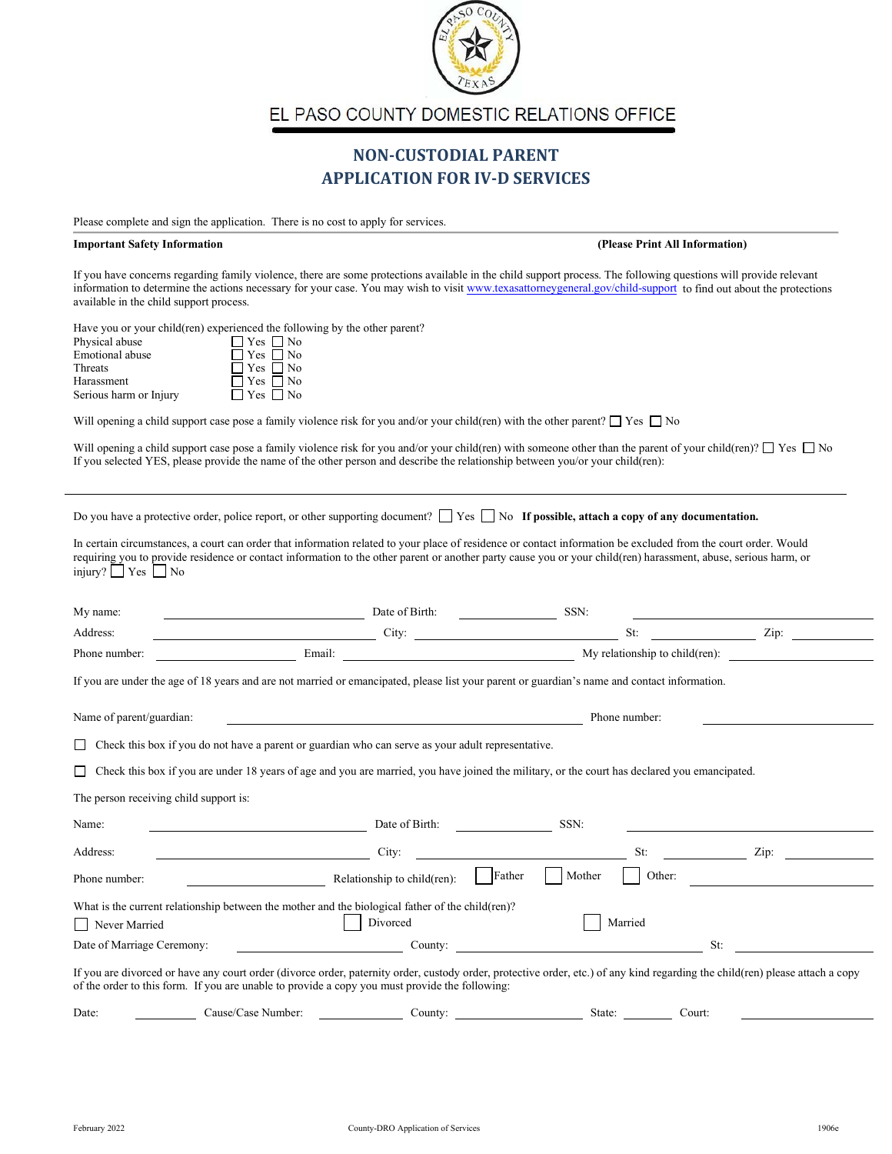

EL PASO COUNTY DOMESTIC RELATIONS OFFICE

## **NON-CUSTODIAL PARENT APPLICATION FOR IV-D SERVICES**

Please complete and sign the application. There is no cost to apply for services.

**Important Safety Information (Please Print All Information)**

If you have concerns regarding family violence, there are some protections available in the child support process. The following questions will provide relevant information to determine the actions necessary for your case. You may wish to visi[t www.texasattorneygeneral.gov/child-support](http://www.texasattorneygeneral.gov/child-support) to find out about the protections available in the child support process.

Have you or your child(ren) experienced the following by the other parent?

| $\Box$ Yes $\Box$ No |
|----------------------|
| $\Box$ Yes $\Box$ No |
| $\Box$ Yes $\Box$ No |
| $\Box$ Yes $\Box$ No |
| $\Box$ Yes $\Box$ No |
|                      |

Will opening a child support case pose a family violence risk for you and/or your child(ren) with the other parent?  $\Box$  Yes  $\Box$  No

Will opening a child support case pose a family violence risk for you and/or your child(ren) with someone other than the parent of your child(ren)?  $\Box$  Yes  $\Box$  No If you selected YES, please provide the name of the other person and describe the relationship between you/or your child(ren):

Do you have a protective order, police report, or other supporting document? Yes No **If possible, attach a copy of any documentation.** 

In certain circumstances, a court can order that information related to your place of residence or contact information be excluded from the court order. Would requiring you to provide residence or contact information to the other parent or another party cause you or your child(ren) harassment, abuse, serious harm, or injury?  $\Box$  Yes  $\Box$  No

| My name:                                                                                                                                                                                                                                                                        |                                                                                                                                               | Date of Birth:                        | SSN:                                                           |               |        |                                |
|---------------------------------------------------------------------------------------------------------------------------------------------------------------------------------------------------------------------------------------------------------------------------------|-----------------------------------------------------------------------------------------------------------------------------------------------|---------------------------------------|----------------------------------------------------------------|---------------|--------|--------------------------------|
| Address:                                                                                                                                                                                                                                                                        |                                                                                                                                               | City:                                 | <u> 1989 - Johann Barn, fransk politik forhandsk politik (</u> | St:           |        | Zip:                           |
| Phone number:                                                                                                                                                                                                                                                                   | Email:                                                                                                                                        |                                       |                                                                |               |        | My relationship to child(ren): |
| If you are under the age of 18 years and are not married or emancipated, please list your parent or guardian's name and contact information.                                                                                                                                    |                                                                                                                                               |                                       |                                                                |               |        |                                |
| Name of parent/guardian:                                                                                                                                                                                                                                                        |                                                                                                                                               |                                       |                                                                | Phone number: |        |                                |
|                                                                                                                                                                                                                                                                                 | Check this box if you do not have a parent or guardian who can serve as your adult representative.                                            |                                       |                                                                |               |        |                                |
|                                                                                                                                                                                                                                                                                 | Check this box if you are under 18 years of age and you are married, you have joined the military, or the court has declared you emancipated. |                                       |                                                                |               |        |                                |
| The person receiving child support is:                                                                                                                                                                                                                                          |                                                                                                                                               |                                       |                                                                |               |        |                                |
| Name:                                                                                                                                                                                                                                                                           |                                                                                                                                               | Date of Birth:                        | SSN:                                                           |               |        |                                |
| Address:                                                                                                                                                                                                                                                                        | City:                                                                                                                                         |                                       |                                                                | St:           |        | Zip:                           |
| Phone number:                                                                                                                                                                                                                                                                   |                                                                                                                                               | Father<br>Relationship to child(ren): | Mother                                                         | Other:        |        |                                |
| What is the current relationship between the mother and the biological father of the child(ren)?<br>Never Married                                                                                                                                                               | Divorced                                                                                                                                      |                                       |                                                                | Married       |        |                                |
| Date of Marriage Ceremony:                                                                                                                                                                                                                                                      |                                                                                                                                               | County:                               | <u> 1980 - Johann Barbara, martxa alemaniar a</u>              |               | St:    |                                |
| If you are divorced or have any court order (divorce order, paternity order, custody order, protective order, etc.) of any kind regarding the child(ren) please attach a copy<br>of the order to this form. If you are unable to provide a copy you must provide the following: |                                                                                                                                               |                                       |                                                                |               |        |                                |
| Date:                                                                                                                                                                                                                                                                           | Cause/Case Number:<br>County:                                                                                                                 |                                       |                                                                | State:        | Court: |                                |